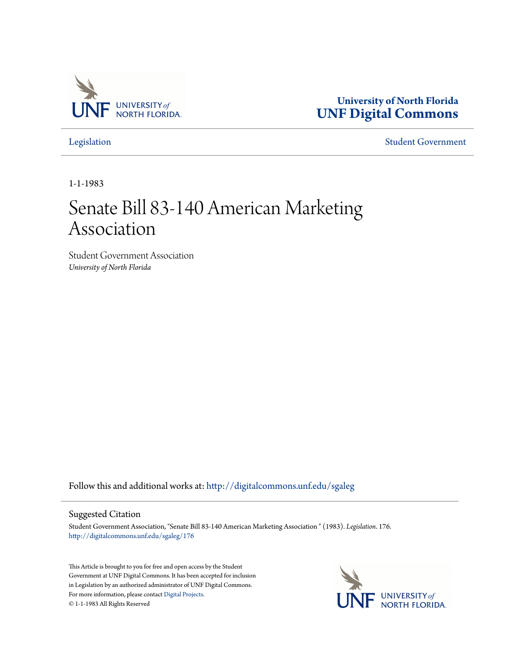

**University of North Florida [UNF Digital Commons](http://digitalcommons.unf.edu?utm_source=digitalcommons.unf.edu%2Fsgaleg%2F176&utm_medium=PDF&utm_campaign=PDFCoverPages)**

[Legislation](http://digitalcommons.unf.edu/sgaleg?utm_source=digitalcommons.unf.edu%2Fsgaleg%2F176&utm_medium=PDF&utm_campaign=PDFCoverPages) [Student Government](http://digitalcommons.unf.edu/sga?utm_source=digitalcommons.unf.edu%2Fsgaleg%2F176&utm_medium=PDF&utm_campaign=PDFCoverPages)

1-1-1983

## Senate Bill 83-140 American Marketing Association

Student Government Association *University of North Florida*

Follow this and additional works at: [http://digitalcommons.unf.edu/sgaleg](http://digitalcommons.unf.edu/sgaleg?utm_source=digitalcommons.unf.edu%2Fsgaleg%2F176&utm_medium=PDF&utm_campaign=PDFCoverPages)

## Suggested Citation

Student Government Association, "Senate Bill 83-140 American Marketing Association " (1983). *Legislation*. 176. [http://digitalcommons.unf.edu/sgaleg/176](http://digitalcommons.unf.edu/sgaleg/176?utm_source=digitalcommons.unf.edu%2Fsgaleg%2F176&utm_medium=PDF&utm_campaign=PDFCoverPages)

This Article is brought to you for free and open access by the Student Government at UNF Digital Commons. It has been accepted for inclusion in Legislation by an authorized administrator of UNF Digital Commons. For more information, please contact [Digital Projects](mailto:lib-digital@unf.edu). © 1-1-1983 All Rights Reserved